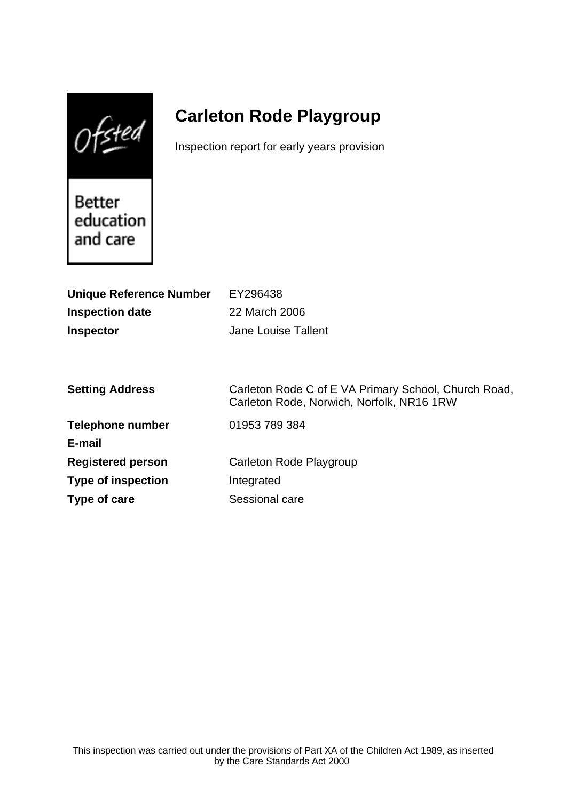$0$ fsted

# **Carleton Rode Playgroup**

Inspection report for early years provision

Better education and care

| <b>Unique Reference Number</b> | EY296438                                                                                          |
|--------------------------------|---------------------------------------------------------------------------------------------------|
| <b>Inspection date</b>         | 22 March 2006                                                                                     |
| <b>Inspector</b>               | <b>Jane Louise Tallent</b>                                                                        |
|                                |                                                                                                   |
|                                |                                                                                                   |
| <b>Setting Address</b>         | Carleton Rode C of E VA Primary School, Church Road,<br>Carleton Rode, Norwich, Norfolk, NR16 1RW |
| <b>Telephone number</b>        | 01953 789 384                                                                                     |
| E-mail                         |                                                                                                   |
| <b>Registered person</b>       | Carleton Rode Playgroup                                                                           |
| <b>Type of inspection</b>      | Integrated                                                                                        |
| Type of care                   | Sessional care                                                                                    |
|                                |                                                                                                   |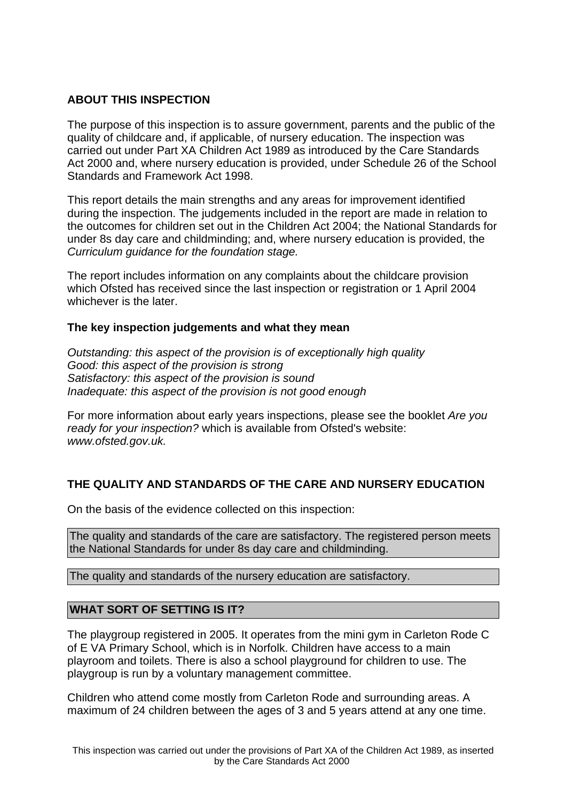# **ABOUT THIS INSPECTION**

The purpose of this inspection is to assure government, parents and the public of the quality of childcare and, if applicable, of nursery education. The inspection was carried out under Part XA Children Act 1989 as introduced by the Care Standards Act 2000 and, where nursery education is provided, under Schedule 26 of the School Standards and Framework Act 1998.

This report details the main strengths and any areas for improvement identified during the inspection. The judgements included in the report are made in relation to the outcomes for children set out in the Children Act 2004; the National Standards for under 8s day care and childminding; and, where nursery education is provided, the Curriculum guidance for the foundation stage.

The report includes information on any complaints about the childcare provision which Ofsted has received since the last inspection or registration or 1 April 2004 whichever is the later.

## **The key inspection judgements and what they mean**

Outstanding: this aspect of the provision is of exceptionally high quality Good: this aspect of the provision is strong Satisfactory: this aspect of the provision is sound Inadequate: this aspect of the provision is not good enough

For more information about early years inspections, please see the booklet Are you ready for your inspection? which is available from Ofsted's website: www.ofsted.gov.uk.

# **THE QUALITY AND STANDARDS OF THE CARE AND NURSERY EDUCATION**

On the basis of the evidence collected on this inspection:

The quality and standards of the care are satisfactory. The registered person meets the National Standards for under 8s day care and childminding.

The quality and standards of the nursery education are satisfactory.

## **WHAT SORT OF SETTING IS IT?**

The playgroup registered in 2005. It operates from the mini gym in Carleton Rode C of E VA Primary School, which is in Norfolk. Children have access to a main playroom and toilets. There is also a school playground for children to use. The playgroup is run by a voluntary management committee.

Children who attend come mostly from Carleton Rode and surrounding areas. A maximum of 24 children between the ages of 3 and 5 years attend at any one time.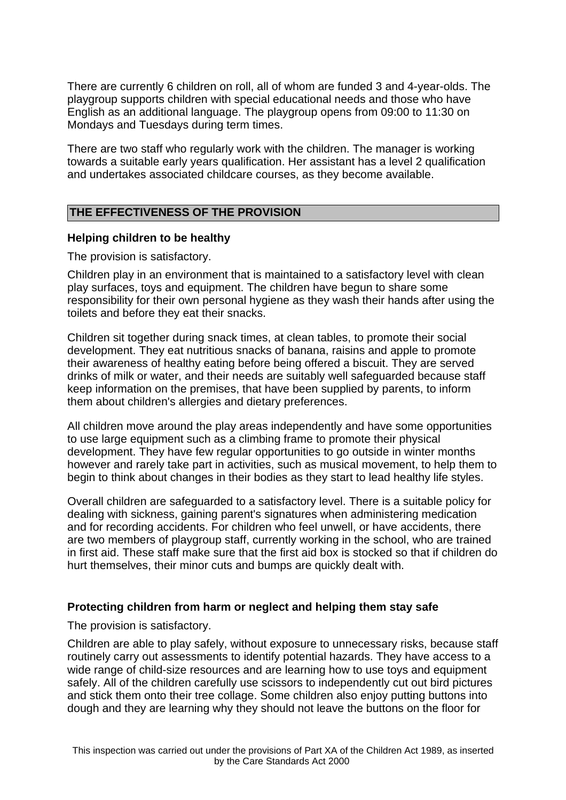There are currently 6 children on roll, all of whom are funded 3 and 4-year-olds. The playgroup supports children with special educational needs and those who have English as an additional language. The playgroup opens from 09:00 to 11:30 on Mondays and Tuesdays during term times.

There are two staff who regularly work with the children. The manager is working towards a suitable early years qualification. Her assistant has a level 2 qualification and undertakes associated childcare courses, as they become available.

# **THE EFFECTIVENESS OF THE PROVISION**

#### **Helping children to be healthy**

The provision is satisfactory.

Children play in an environment that is maintained to a satisfactory level with clean play surfaces, toys and equipment. The children have begun to share some responsibility for their own personal hygiene as they wash their hands after using the toilets and before they eat their snacks.

Children sit together during snack times, at clean tables, to promote their social development. They eat nutritious snacks of banana, raisins and apple to promote their awareness of healthy eating before being offered a biscuit. They are served drinks of milk or water, and their needs are suitably well safeguarded because staff keep information on the premises, that have been supplied by parents, to inform them about children's allergies and dietary preferences.

All children move around the play areas independently and have some opportunities to use large equipment such as a climbing frame to promote their physical development. They have few regular opportunities to go outside in winter months however and rarely take part in activities, such as musical movement, to help them to begin to think about changes in their bodies as they start to lead healthy life styles.

Overall children are safeguarded to a satisfactory level. There is a suitable policy for dealing with sickness, gaining parent's signatures when administering medication and for recording accidents. For children who feel unwell, or have accidents, there are two members of playgroup staff, currently working in the school, who are trained in first aid. These staff make sure that the first aid box is stocked so that if children do hurt themselves, their minor cuts and bumps are quickly dealt with.

## **Protecting children from harm or neglect and helping them stay safe**

The provision is satisfactory.

Children are able to play safely, without exposure to unnecessary risks, because staff routinely carry out assessments to identify potential hazards. They have access to a wide range of child-size resources and are learning how to use toys and equipment safely. All of the children carefully use scissors to independently cut out bird pictures and stick them onto their tree collage. Some children also enjoy putting buttons into dough and they are learning why they should not leave the buttons on the floor for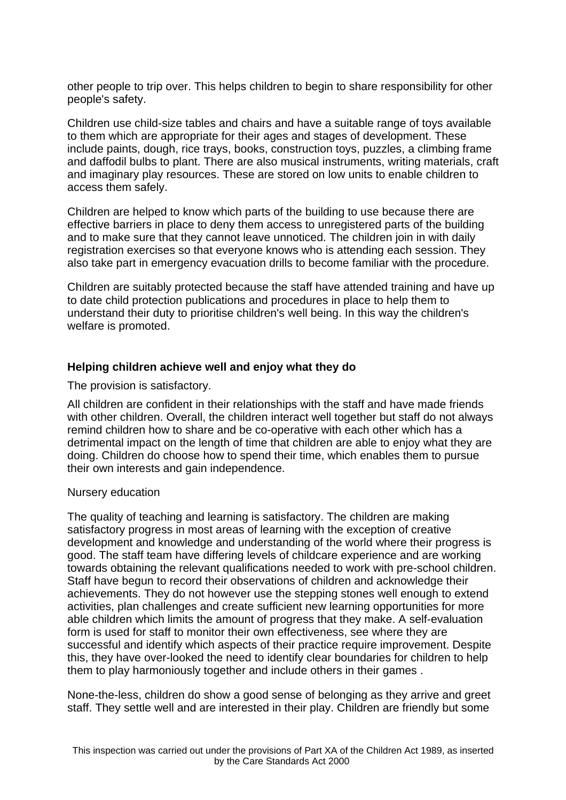other people to trip over. This helps children to begin to share responsibility for other people's safety.

Children use child-size tables and chairs and have a suitable range of toys available to them which are appropriate for their ages and stages of development. These include paints, dough, rice trays, books, construction toys, puzzles, a climbing frame and daffodil bulbs to plant. There are also musical instruments, writing materials, craft and imaginary play resources. These are stored on low units to enable children to access them safely.

Children are helped to know which parts of the building to use because there are effective barriers in place to deny them access to unregistered parts of the building and to make sure that they cannot leave unnoticed. The children join in with daily registration exercises so that everyone knows who is attending each session. They also take part in emergency evacuation drills to become familiar with the procedure.

Children are suitably protected because the staff have attended training and have up to date child protection publications and procedures in place to help them to understand their duty to prioritise children's well being. In this way the children's welfare is promoted.

## **Helping children achieve well and enjoy what they do**

The provision is satisfactory.

All children are confident in their relationships with the staff and have made friends with other children. Overall, the children interact well together but staff do not always remind children how to share and be co-operative with each other which has a detrimental impact on the length of time that children are able to enjoy what they are doing. Children do choose how to spend their time, which enables them to pursue their own interests and gain independence.

## Nursery education

The quality of teaching and learning is satisfactory. The children are making satisfactory progress in most areas of learning with the exception of creative development and knowledge and understanding of the world where their progress is good. The staff team have differing levels of childcare experience and are working towards obtaining the relevant qualifications needed to work with pre-school children. Staff have begun to record their observations of children and acknowledge their achievements. They do not however use the stepping stones well enough to extend activities, plan challenges and create sufficient new learning opportunities for more able children which limits the amount of progress that they make. A self-evaluation form is used for staff to monitor their own effectiveness, see where they are successful and identify which aspects of their practice require improvement. Despite this, they have over-looked the need to identify clear boundaries for children to help them to play harmoniously together and include others in their games .

None-the-less, children do show a good sense of belonging as they arrive and greet staff. They settle well and are interested in their play. Children are friendly but some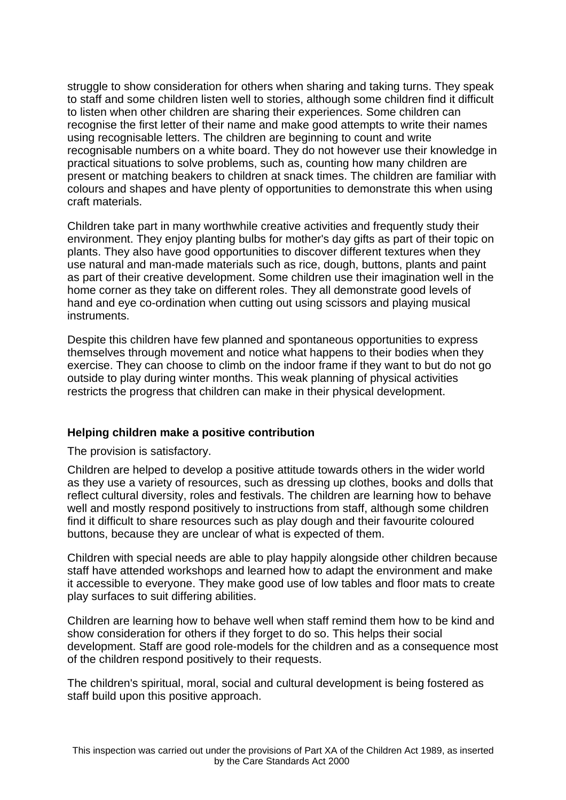struggle to show consideration for others when sharing and taking turns. They speak to staff and some children listen well to stories, although some children find it difficult to listen when other children are sharing their experiences. Some children can recognise the first letter of their name and make good attempts to write their names using recognisable letters. The children are beginning to count and write recognisable numbers on a white board. They do not however use their knowledge in practical situations to solve problems, such as, counting how many children are present or matching beakers to children at snack times. The children are familiar with colours and shapes and have plenty of opportunities to demonstrate this when using craft materials.

Children take part in many worthwhile creative activities and frequently study their environment. They enjoy planting bulbs for mother's day gifts as part of their topic on plants. They also have good opportunities to discover different textures when they use natural and man-made materials such as rice, dough, buttons, plants and paint as part of their creative development. Some children use their imagination well in the home corner as they take on different roles. They all demonstrate good levels of hand and eye co-ordination when cutting out using scissors and playing musical instruments.

Despite this children have few planned and spontaneous opportunities to express themselves through movement and notice what happens to their bodies when they exercise. They can choose to climb on the indoor frame if they want to but do not go outside to play during winter months. This weak planning of physical activities restricts the progress that children can make in their physical development.

## **Helping children make a positive contribution**

The provision is satisfactory.

Children are helped to develop a positive attitude towards others in the wider world as they use a variety of resources, such as dressing up clothes, books and dolls that reflect cultural diversity, roles and festivals. The children are learning how to behave well and mostly respond positively to instructions from staff, although some children find it difficult to share resources such as play dough and their favourite coloured buttons, because they are unclear of what is expected of them.

Children with special needs are able to play happily alongside other children because staff have attended workshops and learned how to adapt the environment and make it accessible to everyone. They make good use of low tables and floor mats to create play surfaces to suit differing abilities.

Children are learning how to behave well when staff remind them how to be kind and show consideration for others if they forget to do so. This helps their social development. Staff are good role-models for the children and as a consequence most of the children respond positively to their requests.

The children's spiritual, moral, social and cultural development is being fostered as staff build upon this positive approach.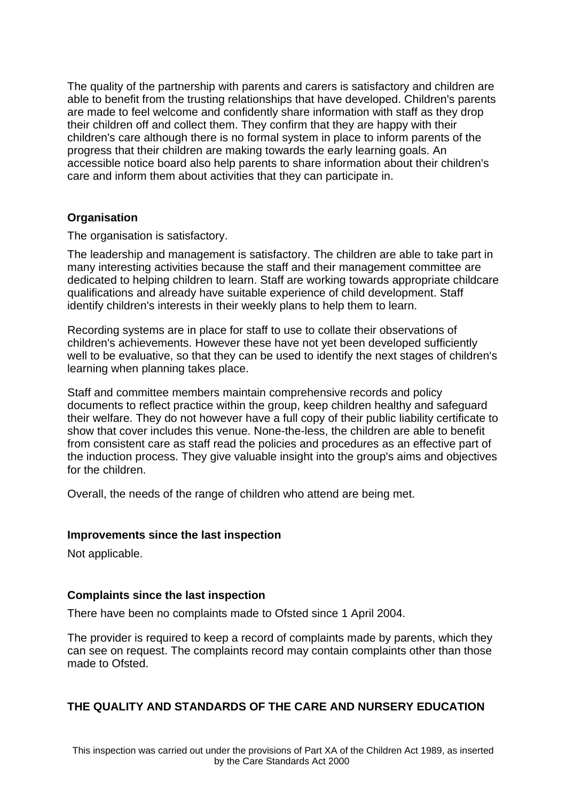The quality of the partnership with parents and carers is satisfactory and children are able to benefit from the trusting relationships that have developed. Children's parents are made to feel welcome and confidently share information with staff as they drop their children off and collect them. They confirm that they are happy with their children's care although there is no formal system in place to inform parents of the progress that their children are making towards the early learning goals. An accessible notice board also help parents to share information about their children's care and inform them about activities that they can participate in.

## **Organisation**

The organisation is satisfactory.

The leadership and management is satisfactory. The children are able to take part in many interesting activities because the staff and their management committee are dedicated to helping children to learn. Staff are working towards appropriate childcare qualifications and already have suitable experience of child development. Staff identify children's interests in their weekly plans to help them to learn.

Recording systems are in place for staff to use to collate their observations of children's achievements. However these have not yet been developed sufficiently well to be evaluative, so that they can be used to identify the next stages of children's learning when planning takes place.

Staff and committee members maintain comprehensive records and policy documents to reflect practice within the group, keep children healthy and safeguard their welfare. They do not however have a full copy of their public liability certificate to show that cover includes this venue. None-the-less, the children are able to benefit from consistent care as staff read the policies and procedures as an effective part of the induction process. They give valuable insight into the group's aims and objectives for the children.

Overall, the needs of the range of children who attend are being met.

#### **Improvements since the last inspection**

Not applicable.

#### **Complaints since the last inspection**

There have been no complaints made to Ofsted since 1 April 2004.

The provider is required to keep a record of complaints made by parents, which they can see on request. The complaints record may contain complaints other than those made to Ofsted.

## **THE QUALITY AND STANDARDS OF THE CARE AND NURSERY EDUCATION**